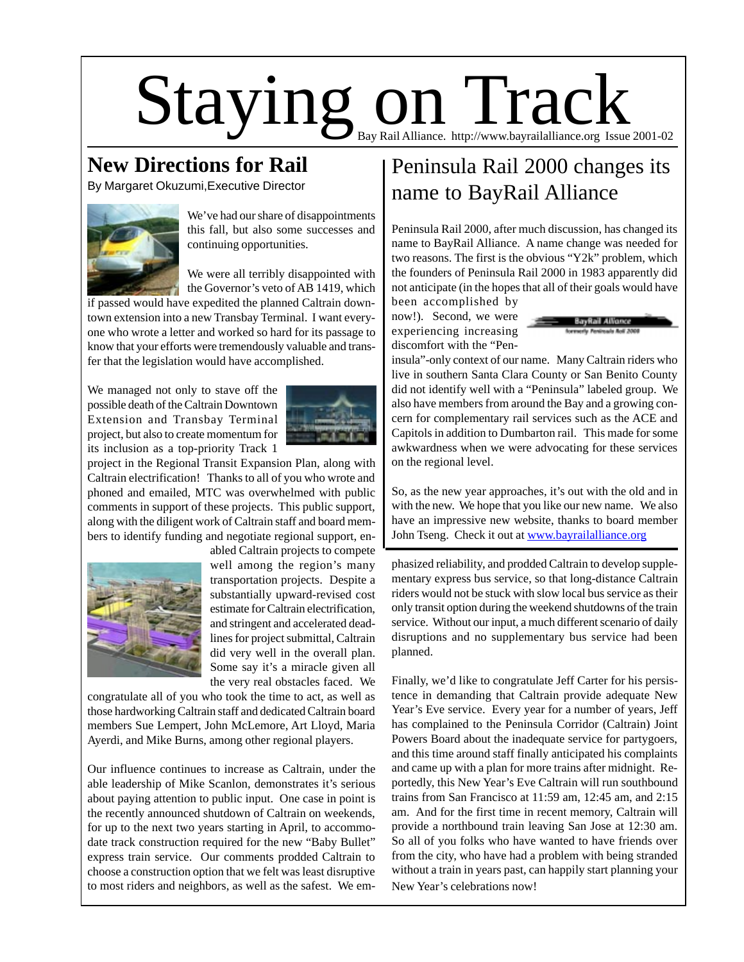# $Staying on  $\mathrm{Tag}_{\text{\tiny Bay,Rail Alliance. http://www.bayrailalliance.org Issue 2001-02}}$$

#### **New Directions for Rail**

By Margaret Okuzumi,Executive Director



We've had our share of disappointments this fall, but also some successes and continuing opportunities.

We were all terribly disappointed with the Governor's veto of AB 1419, which

if passed would have expedited the planned Caltrain downtown extension into a new Transbay Terminal. I want everyone who wrote a letter and worked so hard for its passage to know that your efforts were tremendously valuable and transfer that the legislation would have accomplished.

We managed not only to stave off the possible death of the Caltrain Downtown Extension and Transbay Terminal project, but also to create momentum for its inclusion as a top-priority Track 1



project in the Regional Transit Expansion Plan, along with Caltrain electrification! Thanks to all of you who wrote and phoned and emailed, MTC was overwhelmed with public comments in support of these projects. This public support, along with the diligent work of Caltrain staff and board members to identify funding and negotiate regional support, en-



abled Caltrain projects to compete well among the region's many transportation projects. Despite a substantially upward-revised cost estimate for Caltrain electrification, and stringent and accelerated deadlines for project submittal, Caltrain did very well in the overall plan. Some say it's a miracle given all the very real obstacles faced. We

congratulate all of you who took the time to act, as well as those hardworking Caltrain staff and dedicated Caltrain board members Sue Lempert, John McLemore, Art Lloyd, Maria Ayerdi, and Mike Burns, among other regional players.

Our influence continues to increase as Caltrain, under the able leadership of Mike Scanlon, demonstrates it's serious about paying attention to public input. One case in point is the recently announced shutdown of Caltrain on weekends, for up to the next two years starting in April, to accommodate track construction required for the new "Baby Bullet" express train service. Our comments prodded Caltrain to choose a construction option that we felt was least disruptive to most riders and neighbors, as well as the safest. We em-

#### Peninsula Rail 2000 changes its name to BayRail Alliance

Peninsula Rail 2000, after much discussion, has changed its name to BayRail Alliance. A name change was needed for two reasons. The first is the obvious "Y2k" problem, which the founders of Peninsula Rail 2000 in 1983 apparently did not anticipate (in the hopes that all of their goals would have

been accomplished by now!). Second, we were experiencing increasing discomfort with the "Pen-



insula"-only context of our name. Many Caltrain riders who live in southern Santa Clara County or San Benito County did not identify well with a "Peninsula" labeled group. We also have members from around the Bay and a growing concern for complementary rail services such as the ACE and Capitols in addition to Dumbarton rail. This made for some awkwardness when we were advocating for these services on the regional level.

So, as the new year approaches, it's out with the old and in with the new. We hope that you like our new name. We also have an impressive new website, thanks to board member John Tseng. Check it out at www.bayrailalliance.org

phasized reliability, and prodded Caltrain to develop supplementary express bus service, so that long-distance Caltrain riders would not be stuck with slow local bus service as their only transit option during the weekend shutdowns of the train service. Without our input, a much different scenario of daily disruptions and no supplementary bus service had been planned.

Finally, we'd like to congratulate Jeff Carter for his persistence in demanding that Caltrain provide adequate New Year's Eve service. Every year for a number of years, Jeff has complained to the Peninsula Corridor (Caltrain) Joint Powers Board about the inadequate service for partygoers, and this time around staff finally anticipated his complaints and came up with a plan for more trains after midnight. Reportedly, this New Year's Eve Caltrain will run southbound trains from San Francisco at 11:59 am, 12:45 am, and 2:15 am. And for the first time in recent memory, Caltrain will provide a northbound train leaving San Jose at 12:30 am. So all of you folks who have wanted to have friends over from the city, who have had a problem with being stranded without a train in years past, can happily start planning your New Year's celebrations now!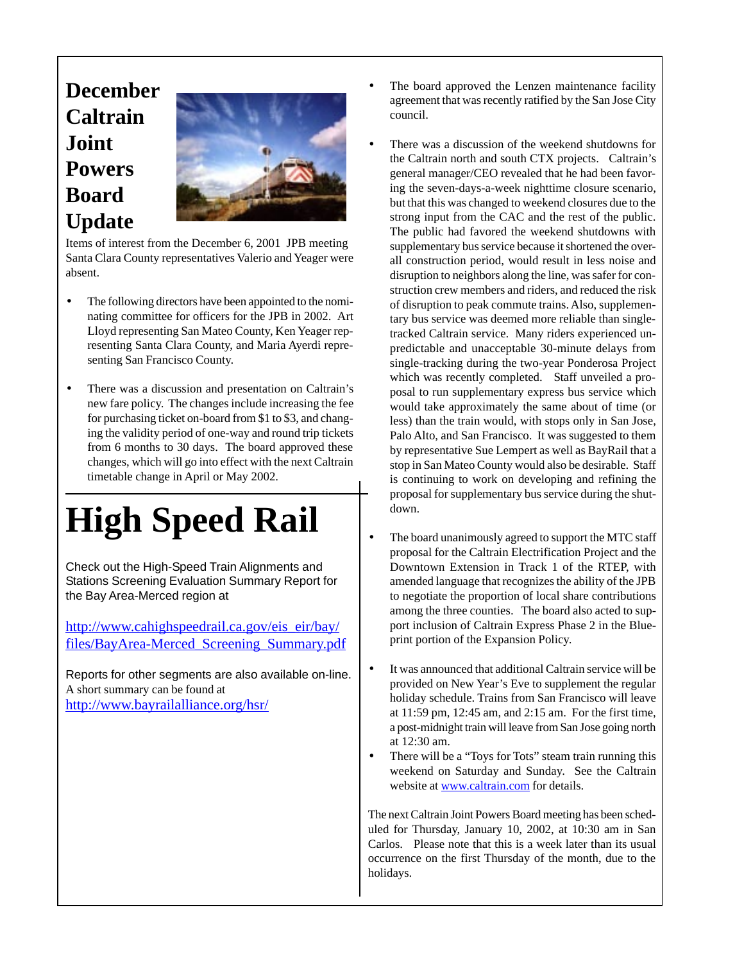### **December Caltrain Joint Powers Board Update**



Items of interest from the December 6, 2001 JPB meeting Santa Clara County representatives Valerio and Yeager were absent.

- The following directors have been appointed to the nominating committee for officers for the JPB in 2002. Art Lloyd representing San Mateo County, Ken Yeager representing Santa Clara County, and Maria Ayerdi representing San Francisco County.
- There was a discussion and presentation on Caltrain's new fare policy. The changes include increasing the fee for purchasing ticket on-board from \$1 to \$3, and changing the validity period of one-way and round trip tickets from 6 months to 30 days. The board approved these changes, which will go into effect with the next Caltrain timetable change in April or May 2002.

## **High Speed Rail**

Check out the High-Speed Train Alignments and Stations Screening Evaluation Summary Report for the Bay Area-Merced region at

http://www.cahighspeedrail.ca.gov/eis\_eir/bay/ files/BayArea-Merced\_Screening\_Summary.pdf

Reports for other segments are also available on-line. A short summary can be found at http://www.bayrailalliance.org/hsr/

- The board approved the Lenzen maintenance facility agreement that was recently ratified by the San Jose City council.
- There was a discussion of the weekend shutdowns for the Caltrain north and south CTX projects. Caltrain's general manager/CEO revealed that he had been favoring the seven-days-a-week nighttime closure scenario, but that this was changed to weekend closures due to the strong input from the CAC and the rest of the public. The public had favored the weekend shutdowns with supplementary bus service because it shortened the overall construction period, would result in less noise and disruption to neighbors along the line, was safer for construction crew members and riders, and reduced the risk of disruption to peak commute trains. Also, supplementary bus service was deemed more reliable than singletracked Caltrain service. Many riders experienced unpredictable and unacceptable 30-minute delays from single-tracking during the two-year Ponderosa Project which was recently completed. Staff unveiled a proposal to run supplementary express bus service which would take approximately the same about of time (or less) than the train would, with stops only in San Jose, Palo Alto, and San Francisco. It was suggested to them by representative Sue Lempert as well as BayRail that a stop in San Mateo County would also be desirable. Staff is continuing to work on developing and refining the proposal for supplementary bus service during the shutdown.
- The board unanimously agreed to support the MTC staff proposal for the Caltrain Electrification Project and the Downtown Extension in Track 1 of the RTEP, with amended language that recognizes the ability of the JPB to negotiate the proportion of local share contributions among the three counties. The board also acted to support inclusion of Caltrain Express Phase 2 in the Blueprint portion of the Expansion Policy.
- It was announced that additional Caltrain service will be provided on New Year's Eve to supplement the regular holiday schedule. Trains from San Francisco will leave at 11:59 pm, 12:45 am, and 2:15 am. For the first time, a post-midnight train will leave from San Jose going north at 12:30 am.
- There will be a "Toys for Tots" steam train running this weekend on Saturday and Sunday. See the Caltrain website at www.caltrain.com for details.

The next Caltrain Joint Powers Board meeting has been scheduled for Thursday, January 10, 2002, at 10:30 am in San Carlos. Please note that this is a week later than its usual occurrence on the first Thursday of the month, due to the holidays.